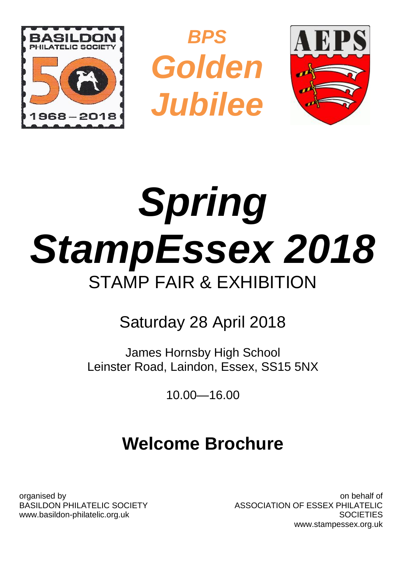





# *Spring StampEssex 2018* STAMP FAIR & EXHIBITION

# Saturday 28 April 2018

James Hornsby High School Leinster Road, Laindon, Essex, SS15 5NX

10.00—16.00

# **Welcome Brochure**

organised by BASILDON PHILATELIC SOCIETY www.basildon-philatelic.org.uk

on behalf of ASSOCIATION OF ESSEX PHILATELIC **SOCIETIES** www.stampessex.org.uk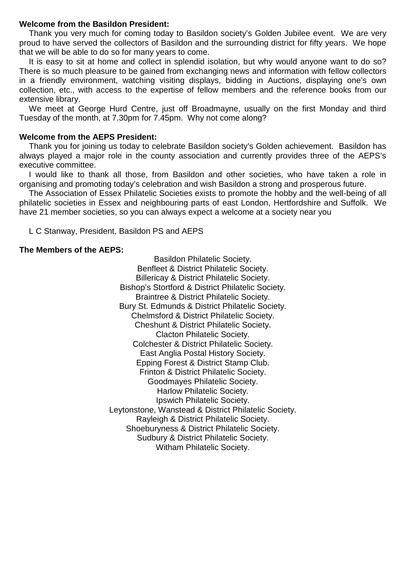#### **Welcome from the Basildon President:**

Thank you very much for coming today to Basildon society's Golden Jubilee event. We are very proud to have served the collectors of Basildon and the surrounding district for fifty years. We hope that we will be able to do so for many years to come.

It is easy to sit at home and collect in splendid isolation, but why would anyone want to do so? There is so much pleasure to be gained from exchanging news and information with fellow collectors in a friendly environment, watching visiting displays, bidding in Auctions, displaying one's own collection, etc., with access to the expertise of fellow members and the reference books from our extensive library.

We meet at George Hurd Centre, just off Broadmayne, usually on the first Monday and third Tuesday of the month, at 7.30pm for 7.45pm. Why not come along?

#### **Welcome from the AEPS President:**

Thank you for joining us today to celebrate Basildon society's Golden achievement. Basildon has always played a major role in the county association and currently provides three of the AEPS's executive committee.

I would like to thank all those, from Basildon and other societies, who have taken a role in organising and promoting today's celebration and wish Basildon a strong and prosperous future.

The Association of Essex Philatelic Societies exists to promote the hobby and the well-being of all philatelic societies in Essex and neighbouring parts of east London, Hertfordshire and Suffolk. We have 21 member societies, so you can always expect a welcome at a society near you

L C Stanway, President, Basildon PS and AEPS

#### **The Members of the AEPS:**

Basildon Philatelic Society. Benfleet & District Philatelic Society. Billericay & District Philatelic Society. Bishop's Stortford & District Philatelic Society. Braintree & District Philatelic Society. Bury St. Edmunds & District Philatelic Society. Chelmsford & District Philatelic Society. Cheshunt & District Philatelic Society. Clacton Philatelic Society. Colchester & District Philatelic Society. East Anglia Postal History Society. Epping Forest & District Stamp Club. Frinton & District Philatelic Society. Goodmayes Philatelic Society. Harlow Philatelic Society. Ipswich Philatelic Society. Leytonstone, Wanstead & District Philatelic Society. Rayleigh & District Philatelic Society. Shoeburyness & District Philatelic Society. Sudbury & District Philatelic Society. Witham Philatelic Society.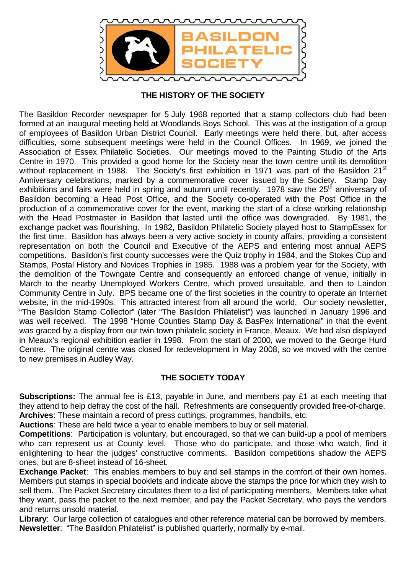

#### **THE HISTORY OF THE SOCIETY**

The Basildon Recorder newspaper for 5 July 1968 reported that a stamp collectors club had been formed at an inaugural meeting held at Woodlands Boys School. This was at the instigation of a group of employees of Basildon Urban District Council. Early meetings were held there, but, after access difficulties, some subsequent meetings were held in the Council Offices. In 1969, we joined the Association of Essex Philatelic Societies. Our meetings moved to the Painting Studio of the Arts Centre in 1970. This provided a good home for the Society near the town centre until its demolition without replacement in 1988. The Society's first exhibition in 1971 was part of the Basildon 21<sup>st</sup> Anniversary celebrations, marked by a commemorative cover issued by the Society. Stamp Day exhibitions and fairs were held in spring and autumn until recently. 1978 saw the 25<sup>th</sup> anniversary of Basildon becoming a Head Post Office, and the Society co-operated with the Post Office in the production of a commemorative cover for the event, marking the start of a close working relationship with the Head Postmaster in Basildon that lasted until the office was downgraded. By 1981, the exchange packet was flourishing. In 1982, Basildon Philatelic Society played host to StampEssex for the first time. Basildon has always been a very active society in county affairs, providing a consistent representation on both the Council and Executive of the AEPS and entering most annual AEPS competitions. Basildon's first county successes were the Quiz trophy in 1984, and the Stokes Cup and Stamps, Postal History and Novices Trophies in 1985. 1988 was a problem year for the Society, with the demolition of the Towngate Centre and consequently an enforced change of venue, initially in March to the nearby Unemployed Workers Centre, which proved unsuitable, and then to Laindon Community Centre in July. BPS became one of the first societies in the country to operate an Internet website, in the mid-1990s. This attracted interest from all around the world. Our society newsletter, "The Basildon Stamp Collector" (later "The Basildon Philatelist") was launched in January 1996 and was well received. The 1998 "Home Counties Stamp Day & BasPex International" in that the event was graced by a display from our twin town philatelic society in France, Meaux. We had also displayed in Meaux's regional exhibition earlier in 1998. From the start of 2000, we moved to the George Hurd Centre. The original centre was closed for redevelopment in May 2008, so we moved with the centre to new premises in Audley Way.

### **THE SOCIETY TODAY**

**Subscriptions:** The annual fee is £13, payable in June, and members pay £1 at each meeting that they attend to help defray the cost of the hall. Refreshments are consequently provided free-of-charge. **Archives**: These maintain a record of press cuttings, programmes, handbills, etc.

**Auctions**: These are held twice a year to enable members to buy or sell material.

**Competitions**: Participation is voluntary, but encouraged, so that we can build-up a pool of members who can represent us at County level. Those who do participate, and those who watch, find it enlightening to hear the judges' constructive comments. Basildon competitions shadow the AEPS ones, but are 8-sheet instead of 16-sheet.

**Exchange Packet**: This enables members to buy and sell stamps in the comfort of their own homes. Members put stamps in special booklets and indicate above the stamps the price for which they wish to sell them. The Packet Secretary circulates them to a list of participating members. Members take what they want, pass the packet to the next member, and pay the Packet Secretary, who pays the vendors and returns unsold material.

**Library**: Our large collection of catalogues and other reference material can be borrowed by members. **Newsletter**: "The Basildon Philatelist" is published quarterly, normally by e-mail.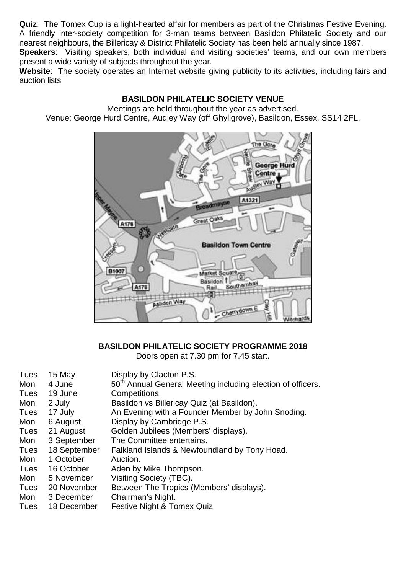**Quiz**: The Tomex Cup is a light-hearted affair for members as part of the Christmas Festive Evening. A friendly inter-society competition for 3-man teams between Basildon Philatelic Society and our nearest neighbours, the Billericay & District Philatelic Society has been held annually since 1987.

**Speakers**: Visiting speakers, both individual and visiting societies' teams, and our own members present a wide variety of subjects throughout the year.

Website: The society operates an Internet website giving publicity to its activities, including fairs and auction lists

# **BASILDON PHILATELIC SOCIETY VENUE**

Meetings are held throughout the year as advertised. Venue: George Hurd Centre, Audley Way (off Ghyllgrove), Basildon, Essex, SS14 2FL.



# **BASILDON PHILATELIC SOCIETY PROGRAMME 2018**

Doors open at 7.30 pm for 7.45 start.

| Tues | 15 May       | Display by Clacton P.S.                                                 |
|------|--------------|-------------------------------------------------------------------------|
| Mon  | 4 June       | 50 <sup>th</sup> Annual General Meeting including election of officers. |
| Tues | 19 June      | Competitions.                                                           |
| Mon  | 2 July       | Basildon vs Billericay Quiz (at Basildon).                              |
| Tues | 17 July      | An Evening with a Founder Member by John Snoding.                       |
| Mon  | 6 August     | Display by Cambridge P.S.                                               |
| Tues | 21 August    | Golden Jubilees (Members' displays).                                    |
| Mon  | 3 September  | The Committee entertains.                                               |
| Tues | 18 September | Falkland Islands & Newfoundland by Tony Hoad.                           |
| Mon  | 1 October    | Auction.                                                                |
| Tues | 16 October   | Aden by Mike Thompson.                                                  |
| Mon  | 5 November   | Visiting Society (TBC).                                                 |
| Tues | 20 November  | Between The Tropics (Members' displays).                                |
| Mon  | 3 December   | Chairman's Night.                                                       |
| Tues | 18 December  | Festive Night & Tomex Quiz.                                             |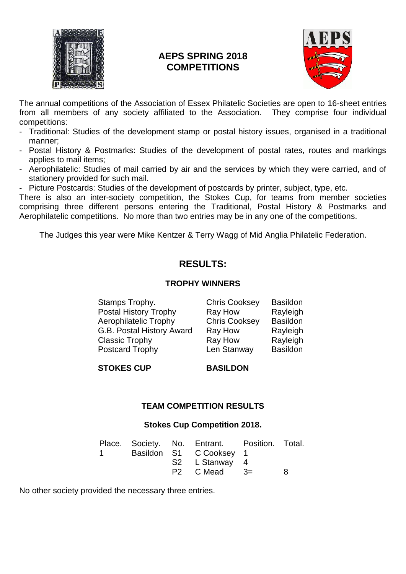

# **AEPS SPRING 2018 COMPETITIONS**



The annual competitions of the Association of Essex Philatelic Societies are open to 16-sheet entries from all members of any society affiliated to the Association. They comprise four individual competitions:

- Traditional: Studies of the development stamp or postal history issues, organised in a traditional manner;
- Postal History & Postmarks: Studies of the development of postal rates, routes and markings applies to mail items;
- Aerophilatelic: Studies of mail carried by air and the services by which they were carried, and of stationery provided for such mail.
- Picture Postcards: Studies of the development of postcards by printer, subject, type, etc.

There is also an inter-society competition, the Stokes Cup, for teams from member societies comprising three different persons entering the Traditional, Postal History & Postmarks and Aerophilatelic competitions. No more than two entries may be in any one of the competitions.

The Judges this year were Mike Kentzer & Terry Wagg of Mid Anglia Philatelic Federation.

# **RESULTS:**

#### **TROPHY WINNERS**

Stamps Trophy. Chris Cooksey Basildon<br>
Postal History Trophy Ray How Rayleigh Postal History Trophy Ray How Rayleigh<br>
Rerophilatelic Trophy Chris Cooksey Basildon Aerophilatelic Trophy Chris Cooksey Basildon G.B. Postal History Award Ray How Rayleigh<br>Classic Trophy Ray How Rayleigh Classic Trophy Ray How<br>
Postcard Trophy Len Stanway Postcard Trophy Len Stanway Basildon

**STOKES CUP BASILDON**

#### **TEAM COMPETITION RESULTS**

#### **Stokes Cup Competition 2018.**

|          |  | Place. Society. No. Entrant. Position. Total. |   |
|----------|--|-----------------------------------------------|---|
| $\sim$ 1 |  | Basildon S1 C Cooksey 1                       |   |
|          |  | S2 L Stanway 4                                |   |
|          |  | $P2$ C Mead $3=$                              | я |

No other society provided the necessary three entries.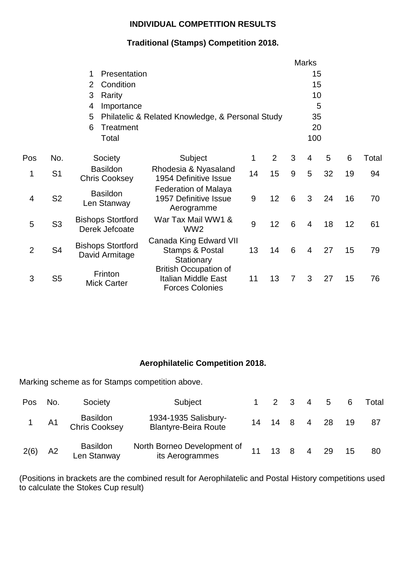#### **INDIVIDUAL COMPETITION RESULTS**

# **Traditional (Stamps) Competition 2018.**

|                |                |                                            |                                                                                      |       |                |   | <b>Marks</b>   |    |    |       |
|----------------|----------------|--------------------------------------------|--------------------------------------------------------------------------------------|-------|----------------|---|----------------|----|----|-------|
|                |                | Presentation<br>1.                         |                                                                                      |       |                |   | 15             |    |    |       |
|                |                | Condition<br>$\mathbf{2}^{\mathsf{I}}$     |                                                                                      |       |                |   | 15             |    |    |       |
|                |                | Rarity<br>3                                |                                                                                      |       |                |   | 10             |    |    |       |
|                |                | Importance<br>4                            |                                                                                      |       |                |   |                | 5  |    |       |
|                |                | 5                                          | Philatelic & Related Knowledge, & Personal Study                                     |       |                |   | 35             |    |    |       |
|                |                | Treatment<br>6                             |                                                                                      |       |                |   | 20             |    |    |       |
|                |                | Total                                      |                                                                                      |       |                |   | 100            |    |    |       |
| Pos            | No.            | Society                                    | Subject                                                                              | 1     | $\overline{2}$ | 3 | 4              | 5  | 6  | Total |
| 1              | S <sub>1</sub> | <b>Basildon</b><br><b>Chris Cooksey</b>    | Rhodesia & Nyasaland<br>1954 Definitive Issue                                        | 14    | 15             | 9 | 5              | 32 | 19 | 94    |
| 4              | S <sub>2</sub> | <b>Basildon</b><br>Len Stanway             | <b>Federation of Malaya</b><br>1957 Definitive Issue<br>Aerogramme                   | $9\,$ | 12             | 6 | 3              | 24 | 16 | 70    |
| 5              | S <sub>3</sub> | <b>Bishops Stortford</b><br>Derek Jefcoate | War Tax Mail WW1 &<br>WW <sub>2</sub>                                                | 9     | 12             | 6 | $\overline{4}$ | 18 | 12 | 61    |
| $\overline{2}$ | S <sub>4</sub> | <b>Bishops Stortford</b><br>David Armitage | Canada King Edward VII<br><b>Stamps &amp; Postal</b><br>Stationary                   | 13    | 14             | 6 | $\overline{4}$ | 27 | 15 | 79    |
| 3              | S <sub>5</sub> | Frinton<br><b>Mick Carter</b>              | <b>British Occupation of</b><br><b>Italian Middle East</b><br><b>Forces Colonies</b> | 11    | 13             | 7 | 3              | 27 | 15 | 76    |

# **Aerophilatelic Competition 2018.**

Marking scheme as for Stamps competition above.

| Pos No. |      | Society                                 | Subject                                             |    | 1 2 3 4 5        |  |      |    | Total |  |
|---------|------|-----------------------------------------|-----------------------------------------------------|----|------------------|--|------|----|-------|--|
|         | 1 A1 | <b>Basildon</b><br><b>Chris Cooksey</b> | 1934-1935 Salisbury-<br><b>Blantyre-Beira Route</b> |    | 14  14  8  4  28 |  |      | 19 | 87    |  |
| 2(6)    | A2   | <b>Basildon</b><br>Len Stanway          | North Borneo Development of<br>its Aerogrammes      | 11 | $13 \quad 8$     |  | 4 29 |    | 80    |  |

(Positions in brackets are the combined result for Aerophilatelic and Postal History competitions used to calculate the Stokes Cup result)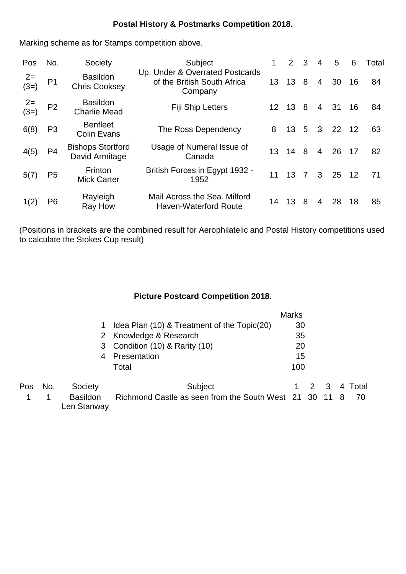# **Postal History & Postmarks Competition 2018.**

Marking scheme as for Stamps competition above.

| Pos            | No.            | Society                                    | Subject                                                                   | 1. | 2               | 3 | 4              | 5  | 6  | Total |  |
|----------------|----------------|--------------------------------------------|---------------------------------------------------------------------------|----|-----------------|---|----------------|----|----|-------|--|
| $2=$<br>$(3=)$ | P <sub>1</sub> | <b>Basildon</b><br><b>Chris Cooksey</b>    | Up, Under & Overrated Postcards<br>of the British South Africa<br>Company | 13 | 13              | 8 | $\overline{4}$ | 30 | 16 | 84    |  |
| $2=$<br>$(3=)$ | P <sub>2</sub> | <b>Basildon</b><br><b>Charlie Mead</b>     | Fiji Ship Letters                                                         | 12 | 13              | 8 | $\overline{4}$ | 31 | 16 | 84    |  |
| 6(8)           | P <sub>3</sub> | <b>Benfleet</b><br><b>Colin Evans</b>      | The Ross Dependency                                                       | 8  | 13 <sup>°</sup> | 5 | 3              | 22 | 12 | 63    |  |
| 4(5)           | P <sub>4</sub> | <b>Bishops Stortford</b><br>David Armitage | Usage of Numeral Issue of<br>Canada                                       | 13 | $14 \quad 8$    |   | $\overline{4}$ | 26 | 17 | 82    |  |
| 5(7)           | P <sub>5</sub> | Frinton<br><b>Mick Carter</b>              | British Forces in Egypt 1932 -<br>1952                                    | 11 | 13              | 7 | 3              | 25 | 12 | 71    |  |
| 1(2)           | P <sub>6</sub> | Rayleigh<br>Ray How                        | Mail Across the Sea. Milford<br>Haven-Waterford Route                     | 14 | 13              | 8 | 4              | 28 | 18 | 85    |  |

(Positions in brackets are the combined result for Aerophilatelic and Postal History competitions used to calculate the Stokes Cup result)

# **Picture Postcard Competition 2018.**

|     |     |                                |                                                        | <b>Marks</b> |     |   |       |  |
|-----|-----|--------------------------------|--------------------------------------------------------|--------------|-----|---|-------|--|
|     |     |                                | Idea Plan (10) & Treatment of the Topic(20)            | 30           |     |   |       |  |
|     |     |                                | 2 Knowledge & Research                                 | 35           |     |   |       |  |
|     |     |                                | 3 Condition (10) & Rarity (10)                         | 20           |     |   |       |  |
|     |     | 4                              | Presentation                                           | 15           |     |   |       |  |
|     |     |                                | Total                                                  | 100          |     |   |       |  |
| Pos | No. | Society                        | Subject                                                |              | 2 3 | 4 | Total |  |
|     |     | <b>Basildon</b><br>Len Stanway | Richmond Castle as seen from the South West 21 30 11 8 |              |     |   | -70   |  |